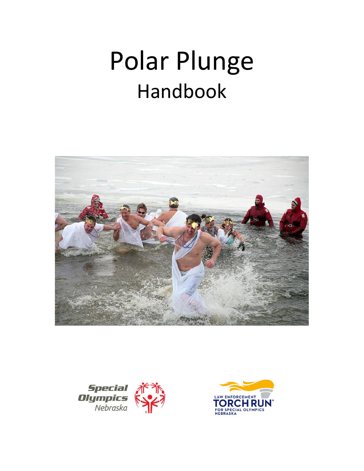# Polar Plunge Handbook





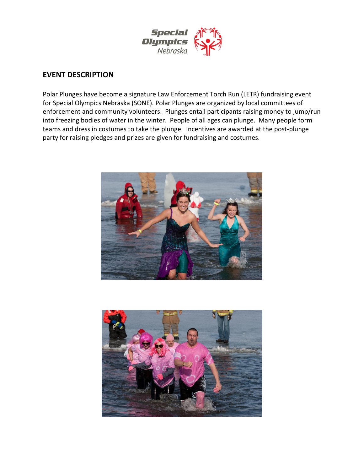

## **EVENT DESCRIPTION**

Polar Plunges have become a signature Law Enforcement Torch Run (LETR) fundraising event for Special Olympics Nebraska (SONE). Polar Plunges are organized by local committees of enforcement and community volunteers. Plunges entail participants raising money to jump/run into freezing bodies of water in the winter. People of all ages can plunge. Many people form teams and dress in costumes to take the plunge. Incentives are awarded at the post-plunge party for raising pledges and prizes are given for fundraising and costumes.



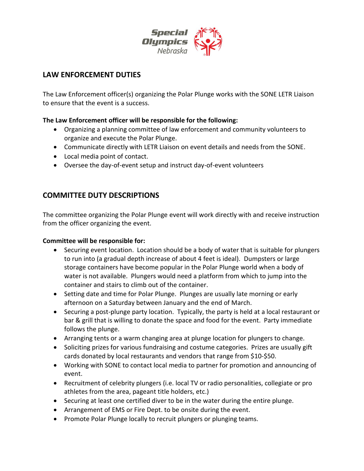

# **LAW ENFORCEMENT DUTIES**

The Law Enforcement officer(s) organizing the Polar Plunge works with the SONE LETR Liaison to ensure that the event is a success.

### **The Law Enforcement officer will be responsible for the following:**

- Organizing a planning committee of law enforcement and community volunteers to organize and execute the Polar Plunge.
- Communicate directly with LETR Liaison on event details and needs from the SONE.
- Local media point of contact.
- Oversee the day-of-event setup and instruct day-of-event volunteers

# **COMMITTEE DUTY DESCRIPTIONS**

The committee organizing the Polar Plunge event will work directly with and receive instruction from the officer organizing the event.

### **Committee will be responsible for:**

- Securing event location. Location should be a body of water that is suitable for plungers to run into (a gradual depth increase of about 4 feet is ideal). Dumpsters or large storage containers have become popular in the Polar Plunge world when a body of water is not available. Plungers would need a platform from which to jump into the container and stairs to climb out of the container.
- Setting date and time for Polar Plunge. Plunges are usually late morning or early afternoon on a Saturday between January and the end of March.
- Securing a post-plunge party location. Typically, the party is held at a local restaurant or bar & grill that is willing to donate the space and food for the event. Party immediate follows the plunge.
- Arranging tents or a warm changing area at plunge location for plungers to change.
- Soliciting prizes for various fundraising and costume categories. Prizes are usually gift cards donated by local restaurants and vendors that range from \$10-\$50.
- Working with SONE to contact local media to partner for promotion and announcing of event.
- Recruitment of celebrity plungers (i.e. local TV or radio personalities, collegiate or pro athletes from the area, pageant title holders, etc.)
- Securing at least one certified diver to be in the water during the entire plunge.
- Arrangement of EMS or Fire Dept. to be onsite during the event.
- Promote Polar Plunge locally to recruit plungers or plunging teams.